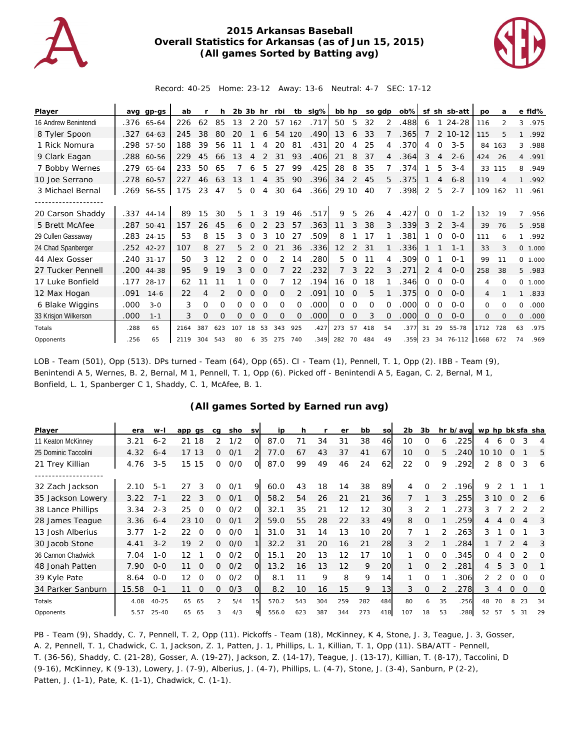

## **2015 Arkansas Baseball Overall Statistics for Arkansas (as of Jun 15, 2015) (All games Sorted by Batting avg)**



Record: 40-25 Home: 23-12 Away: 13-6 Neutral: 4-7 SEC: 17-12

| Player               | ava  | $qp-qs$      | ab   |     | h   | 2b 3b |             | hr       | rbi      | tb       | slg% | bb hp          |          |          | so adp       | $ob\%$ |          |          | sf sh sb-att           | <b>DO</b> | a        |                | e fld%   |
|----------------------|------|--------------|------|-----|-----|-------|-------------|----------|----------|----------|------|----------------|----------|----------|--------------|--------|----------|----------|------------------------|-----------|----------|----------------|----------|
| 16 Andrew Benintendi |      | .376 65-64   | 226  | 62  | 85  | 13    |             | 2 2 0    | 57       | 162      | .717 | 50             | 5        | 32       | 2            | .488   | 6        | 1        | 24-28                  | 116       | 2        | 3              | .975     |
| 8 Tyler Spoon        | .327 | 64-63        | 245  | 38  | 80  | 20    |             | 6        | 54       | 120      | .490 | 13             | 6        | 33       |              | .365   |          |          | 2 10-12                | 115       |          |                | .992     |
| 1 Rick Nomura        |      | .298 57-50   | 188  | 39  | 56  |       |             |          | 20       | 81       | .431 | 20             | 4        | 25       | 4            | .370   | 4        | $\Omega$ | $3 - 5$                | 84        | 163      | 3              | .988     |
| 9 Clark Eagan        | .288 | 60-56        | 229  | 45  | 66  | 13    |             |          | 31       | 93       | .406 | 21             | 8        | 37       | 4            | .364   | 3        | 4        | $2 - 6$                | 424       | 26       | $\overline{4}$ | .991     |
| 7 Bobby Wernes       | .279 | 65-64        | 233  | 50  | 65  |       | 6           | 5        | 27       | 99       | .425 | 28             | 8        | 35       |              | .374   |          | 5        | $3 - 4$                |           | 33 115   | 8              | .949     |
| 10 Joe Serrano       | .278 | 60-57        | 227  | 46  | 63  | 13    |             | 4        | 35       | 90       | .396 | 34             | 2        | 45       | 5            | .375   |          | 4        | $6 - 8$                | 119       |          | $\mathbf{1}$   | .992     |
| 3 Michael Bernal     | .269 | 56-55        | 175  | 23  | 47  | 5     | $\mathbf 0$ | 4        | 30       | 64       | .366 | 29 10          |          | 40       |              | .398   | 2        | 5        | $2 - 7$                | 109       | 162      | 11             | .961     |
|                      |      |              |      |     |     |       |             |          |          |          |      |                |          |          |              |        |          |          |                        |           |          |                |          |
| 20 Carson Shaddy     | .337 | $44 - 14$    | 89   | 15  | 30  | 5     |             | 3        | 19       | 46       | .517 | 9              | 5        | 26       | 4            | .427   | 0        | $\Omega$ | $1 - 2$                | 132       | 19       | 7              | .956     |
| 5 Brett McAfee       | .287 | $50 - 41$    | 157  | 26  | 45  | 6     | $\Omega$    | 2        | 23       | 57       | .363 | 11             | 3        | 38       | 3            | .339   | 3        | 2        | $3 - 4$                | 39        | 76       | 5              | .958     |
| 29 Cullen Gassaway   |      | .283 24-15   | 53   | 8   | 15  | 3     | 0           | 3        | 10       | 27       | .509 | 8              |          | 17       |              | .381   |          | 0        | $O - O$                | 111       | 6        | $\mathbf{1}$   | .992     |
| 24 Chad Spanberger   |      | $.252$ 42-27 | 107  | 8   | 27  | 5.    |             |          |          | 36       | .336 | 12             | 2        | 31       |              | .336   |          |          | $1 - 1$                | 33        | 3        |                | 0 1.000  |
| 44 Alex Gosser       |      | .240 31-17   | 50   | 3   | 12  |       | $\Omega$    | $\Omega$ | 2        | 14       | .280 | 5              | $\Omega$ | 11       | 4            | .309   | $\Omega$ |          | $() - 1$               | 99        | 11       |                | 0, 1,000 |
| 27 Tucker Pennell    |      | .200 44-38   | 95   | 9   | 19  | 3     | $\Omega$    | $\Omega$ |          | 22       | .232 | $\overline{7}$ | 3        | 22       | 3            | .271   | 2        | 4        | $O - O$                | 258       | 38       | 5              | .983     |
| 17 Luke Bonfield     | .177 | $28 - 17$    | 62   |     |     |       | O           | $\Omega$ |          | 12       | .194 | 16             | $\Omega$ | 18       |              | .346   | 0        | $\Omega$ | $O - O$                | 4         | $\Omega$ | $\Omega$       | 1.000    |
| 12 Max Hogan         | .091 | $14 - 6$     | 22   | 4   |     | 0     | $\Omega$    | $\Omega$ | $\Omega$ |          | .091 | 10             | $\Omega$ | 5        |              | 375    | 0        | $\Omega$ | $O - O$                | 4         |          | 1              | .833     |
| 6 Blake Wiggins      | .000 | $3 - 0$      | 3    | Ω   | 0   | 0     | O           | $\Omega$ | O        | $\Omega$ | .000 | 0              | $\Omega$ | $\Omega$ |              | .000   | $\Omega$ | $\Omega$ | $O - O$                | $\Omega$  | $\Omega$ | 0              | .000     |
| 33 Krisjon Wilkerson | .000 | $1 - 1$      | 3    | 0   | O   | 0     | $\Omega$    | $\Omega$ | $\Omega$ | $\Omega$ | .000 | $\Omega$       | $\Omega$ | 3        | <sup>o</sup> | .000   | $\Omega$ | $\Omega$ | $0 - 0$                | $\circ$   | 0        | $\mathbf{O}$   | .000     |
| Totals               | .288 | 65           | 2164 | 387 | 623 | 107   | 18          | 53       | 343      | 925      | .427 | 273            | 57       | 418      | 54           | .377   | 31       | 29       | 55-78                  | 1712      | 728      | 63             | .975     |
| Opponents            | .256 | 65           | 2119 | 304 | 543 | 80    | 6           | 35       | 275      | 740      | .349 | 282 70         |          | 484      | 49           |        |          |          | .359 23 34 76-112 1668 |           | 672      | 74             | .969     |

LOB - Team (501), Opp (513). DPs turned - Team (64), Opp (65). CI - Team (1), Pennell, T. 1, Opp (2). IBB - Team (9), Benintendi A 5, Wernes, B. 2, Bernal, M 1, Pennell, T. 1, Opp (6). Picked off - Benintendi A 5, Eagan, C. 2, Bernal, M 1, Bonfield, L. 1, Spanberger C 1, Shaddy, C. 1, McAfee, B. 1.

## **(All games Sorted by Earned run avg)**

| Player               | era   | $W -$     | app gs              | ca       | sho | <b>SV</b>      | ip    | h   |     | er  | bb  | so        | 2b  | 3b           |          | hr b/avg | wp hp bk sfa sha |      |          |          |    |
|----------------------|-------|-----------|---------------------|----------|-----|----------------|-------|-----|-----|-----|-----|-----------|-----|--------------|----------|----------|------------------|------|----------|----------|----|
| 11 Keaton McKinney   | 3.21  | $6 - 2$   | 21<br>18            | 2        | 1/2 | O              | 87.0  |     | 34  | 31  | 38  | 46        | 10  | $\Omega$     | 6        | 225      | 4                |      |          |          | 4  |
| 25 Dominic Taccolini | 4.32  | $6 - 4$   | 17 13               | $\Omega$ | O/1 | $\overline{2}$ | 77.0  | 67  | 43  | 37  | 41  | 67        | 10  | 0            | 5        | 240      | 10 <sup>°</sup>  | 10   | $\Omega$ |          | 5  |
| 21 Trey Killian      | 4.76  | $3 - 5$   | 15 15               | $\Omega$ | O/O | $\overline{O}$ | 87.0  | 99  | 49  | 46  | 24  | 62        | 22  | $\Omega$     | 9        | .292     | 2                | 8    | $\Omega$ | 3        | 6  |
|                      |       |           |                     |          |     |                |       |     |     |     |     |           |     |              |          |          |                  |      |          |          |    |
| 32 Zach Jackson      | 2.10  | $5 - 1$   | 3<br>27             | 0        | O/1 | 9              | 60.0  | 43  | 18  | 14  | 38  | 89        | 4   | $\Omega$     |          | .196     | 9                |      |          |          |    |
| 35 Jackson Lowery    | 3.22  | $7 - 1$   | 22<br>3             | $\Omega$ | O/1 | $\Omega$       | 58.2  | 54  | 26  | 21  | 21  | <b>36</b> |     |              | 3        | .255     |                  | 3 10 | $\Omega$ |          | 6  |
| 38 Lance Phillips    | 3.34  | $2 - 3$   | 25<br>$\Omega$      | Ω        | 0/2 | $\Omega$       | 32.1  | 35  | 21  | 12  | 12  | 30        | 3   |              |          | 273      | 3                |      |          |          | 2  |
| 28 James Teague      | 3.36  | $6 - 4$   | 23 10               | $\Omega$ | O/1 | $\overline{2}$ | 59.0  | 55  | 28  | 22  | 33  | 49        | 8   | $\Omega$     |          | 259      | 4                | 4    | $\Omega$ | 4        | 3  |
| 13 Josh Alberius     | 3.77  | $1 - 2$   | 22<br>$\Omega$      | ∩        | O/O |                | 31.0  | 31  | 14  | 1.3 | 10  | 20        |     |              | 2        | 263      | 3                |      | O        |          | 3  |
| 30 Jacob Stone       | 4.41  | $3 - 2$   | 19<br>$\mathcal{P}$ | 0        | O/O |                | 32.2  | 31  | 20  | 16  | 21  | 28        | 3   | 2            |          | 284      |                  |      |          |          | 3  |
| 36 Cannon Chadwick   | 7.04  | $1 - 0$   | 12                  | 0        | 0/2 | വ              | 15.1  | 20  | 13  | 12  | 17  | 10        |     | $\Omega$     | $\Omega$ | .345     | 0                |      | 0        |          | O  |
| 48 Jonah Patten      | 7.90  | $0 - 0$   | 11<br>$\Omega$      | Ω        | 0/2 | $\Omega$       | 13.2  | 16  | 13  | 12  | 9   | 20        |     | $\mathbf{O}$ |          | .281     | 4                | 5    | 3        | $\Omega$ |    |
| 39 Kyle Pate         | 8.64  | $0 - 0$   | 12<br>$\Omega$      | 0        | 0/2 | O.             | 8.1   | 11  | 9   | 8   | 9   | 14        |     | $\Omega$     |          | .306     | 2                |      | $\Omega$ | ∩        | O  |
| 34 Parker Sanburn    | 15.58 | $O - 1$   | 11<br>$\Omega$      | 0        | O/3 | $\Omega$       | 8.2   | 10  | 16  | 15  | 9   | 13        | 3   | $\Omega$     |          | 278      | 3                | 4    | 0        | $\Omega$ | O  |
| Totals               | 4.08  | $40 - 25$ | 65<br>65            | 2        | 5/4 | 15             | 570.2 | 543 | 304 | 259 | 282 | 484       | 80  | 6            | 35       | .256     | 48               |      |          | 23       | 34 |
| Opponents            | 5.57  | $25 - 40$ | 65<br>65            |          | 4/3 | 9              | 556.0 | 623 | 387 | 344 | 273 | 418       | 107 | 18           | 53       | 288      | 52               | 57   |          | 31       | 29 |

PB - Team (9), Shaddy, C. 7, Pennell, T. 2, Opp (11). Pickoffs - Team (18), McKinney, K 4, Stone, J. 3, Teague, J. 3, Gosser, A. 2, Pennell, T. 1, Chadwick, C. 1, Jackson, Z. 1, Patten, J. 1, Phillips, L. 1, Killian, T. 1, Opp (11). SBA/ATT - Pennell, T. (36-56), Shaddy, C. (21-28), Gosser, A. (19-27), Jackson, Z. (14-17), Teague, J. (13-17), Killian, T. (8-17), Taccolini, D (9-16), McKinney, K (9-13), Lowery, J. (7-9), Alberius, J. (4-7), Phillips, L. (4-7), Stone, J. (3-4), Sanburn, P (2-2), Patten, J. (1-1), Pate, K. (1-1), Chadwick, C. (1-1).